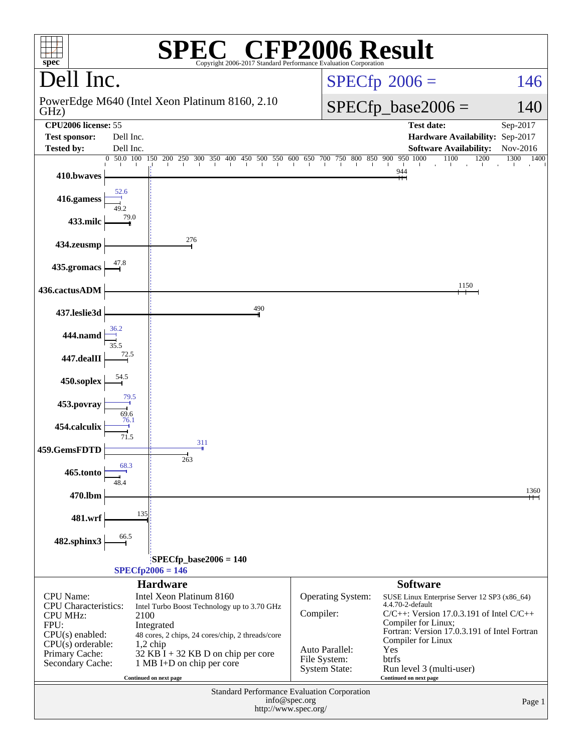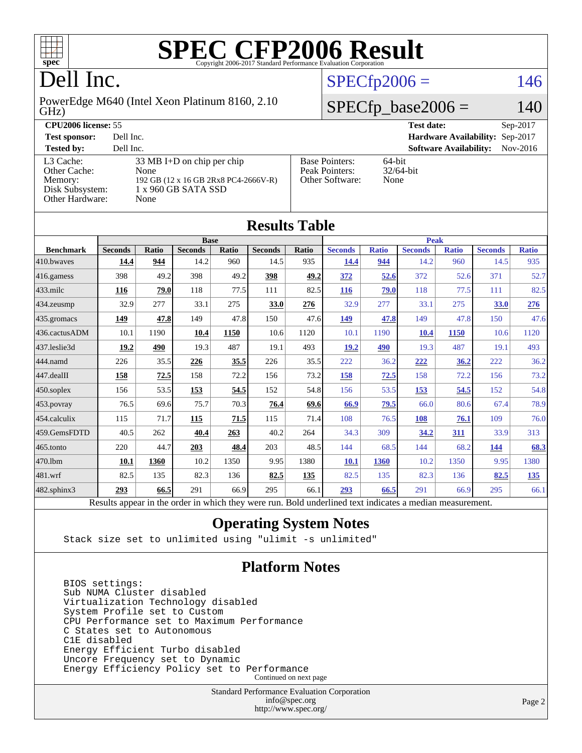

# Dell Inc.

GHz) PowerEdge M640 (Intel Xeon Platinum 8160, 2.10

| $SPECfp2006 =$ | 146 |
|----------------|-----|
|----------------|-----|

### $SPECfp\_base2006 = 140$

| <b>CPU2006 license: 55</b>                                                 |                                                                                                           |                                                            | <b>Test date:</b><br>$Sep-2017$             |
|----------------------------------------------------------------------------|-----------------------------------------------------------------------------------------------------------|------------------------------------------------------------|---------------------------------------------|
| <b>Test sponsor:</b>                                                       | Dell Inc.                                                                                                 |                                                            | Hardware Availability: Sep-2017             |
| <b>Tested by:</b>                                                          | Dell Inc.                                                                                                 |                                                            | <b>Software Availability:</b><br>$Nov-2016$ |
| L3 Cache:<br>Other Cache:<br>Memory:<br>Disk Subsystem:<br>Other Hardware: | 33 MB I+D on chip per chip<br>None<br>192 GB (12 x 16 GB 2Rx8 PC4-2666V-R)<br>1 x 960 GB SATA SSD<br>None | <b>Base Pointers:</b><br>Peak Pointers:<br>Other Software: | $64$ -bit<br>$32/64$ -bit<br>None           |

**[Results Table](http://www.spec.org/auto/cpu2006/Docs/result-fields.html#ResultsTable)**

| Results Table     |                                                                                                          |              |                |       |                |       |                |              |                |              |                |              |
|-------------------|----------------------------------------------------------------------------------------------------------|--------------|----------------|-------|----------------|-------|----------------|--------------|----------------|--------------|----------------|--------------|
|                   | <b>Base</b>                                                                                              |              |                |       |                |       | <b>Peak</b>    |              |                |              |                |              |
| <b>Benchmark</b>  | <b>Seconds</b>                                                                                           | <b>Ratio</b> | <b>Seconds</b> | Ratio | <b>Seconds</b> | Ratio | <b>Seconds</b> | <b>Ratio</b> | <b>Seconds</b> | <b>Ratio</b> | <b>Seconds</b> | <b>Ratio</b> |
| 410.bwaves        | 14.4                                                                                                     | 944          | 14.2           | 960   | 14.5           | 935   | 14.4           | 944          | 14.2           | 960          | 14.5           | 935          |
| 416.gamess        | 398                                                                                                      | 49.2         | 398            | 49.2  | 398            | 49.2  | 372            | 52.6         | 372            | 52.6         | 371            | 52.7         |
| $433$ .milc       | 116                                                                                                      | 79.0         | 118            | 77.5  | 111            | 82.5  | 116            | 79.0         | 118            | 77.5         | 111            | 82.5         |
| 434.zeusmp        | 32.9                                                                                                     | 277          | 33.1           | 275   | 33.0           | 276   | 32.9           | 277          | 33.1           | 275          | 33.0           | 276          |
| 435.gromacs       | 149                                                                                                      | 47.8         | 149            | 47.8  | 150            | 47.6  | 149            | 47.8         | 149            | 47.8         | 150            | 47.6         |
| 436.cactusADM     | 10.1                                                                                                     | 1190         | 10.4           | 1150  | 10.6           | 1120  | 10.1           | 1190         | 10.4           | 1150         | 10.6           | 1120         |
| 437.leslie3d      | 19.2                                                                                                     | 490          | 19.3           | 487   | 19.1           | 493   | 19.2           | 490          | 19.3           | 487          | 19.1           | 493          |
| 444.namd          | 226                                                                                                      | 35.5         | 226            | 35.5  | 226            | 35.5  | 222            | 36.2         | 222            | 36.2         | 222            | 36.2         |
| 447.dealII        | 158                                                                                                      | 72.5         | 158            | 72.2  | 156            | 73.2  | 158            | 72.5         | 158            | 72.2         | 156            | 73.2         |
| $450$ .soplex     | 156                                                                                                      | 53.5         | 153            | 54.5  | 152            | 54.8  | 156            | 53.5         | 153            | 54.5         | 152            | 54.8         |
| 453.povray        | 76.5                                                                                                     | 69.6         | 75.7           | 70.3  | 76.4           | 69.6  | 66.9           | 79.5         | 66.0           | 80.6         | 67.4           | 78.9         |
| 454.calculix      | 115                                                                                                      | 71.7         | 115            | 71.5  | 115            | 71.4  | 108            | 76.5         | 108            | 76.1         | 109            | 76.0         |
| 459.GemsFDTD      | 40.5                                                                                                     | 262          | 40.4           | 263   | 40.2           | 264   | 34.3           | 309          | 34.2           | 311          | 33.9           | 313          |
| 465.tonto         | 220                                                                                                      | 44.7         | 203            | 48.4  | 203            | 48.5  | 144            | 68.5         | 144            | 68.2         | <u>144</u>     | 68.3         |
| 470.1bm           | <b>10.1</b>                                                                                              | 1360         | 10.2           | 1350  | 9.95           | 1380  | <b>10.1</b>    | 1360         | 10.2           | 1350         | 9.95           | 1380         |
| 481.wrf           | 82.5                                                                                                     | 135          | 82.3           | 136   | 82.5           | 135   | 82.5           | 135          | 82.3           | 136          | 82.5           | <u>135</u>   |
| $482$ .sphinx $3$ | 293                                                                                                      | 66.5         | 291            | 66.9  | 295            | 66.1  | 293            | 66.5         | 291            | 66.9         | 295            | 66.1         |
|                   | Results appear in the order in which they were run. Bold underlined text indicates a median measurement. |              |                |       |                |       |                |              |                |              |                |              |

### **[Operating System Notes](http://www.spec.org/auto/cpu2006/Docs/result-fields.html#OperatingSystemNotes)**

Stack size set to unlimited using "ulimit -s unlimited"

### **[Platform Notes](http://www.spec.org/auto/cpu2006/Docs/result-fields.html#PlatformNotes)**

 BIOS settings: Sub NUMA Cluster disabled Virtualization Technology disabled System Profile set to Custom CPU Performance set to Maximum Performance C States set to Autonomous C1E disabled Energy Efficient Turbo disabled Uncore Frequency set to Dynamic Energy Efficiency Policy set to Performance Continued on next page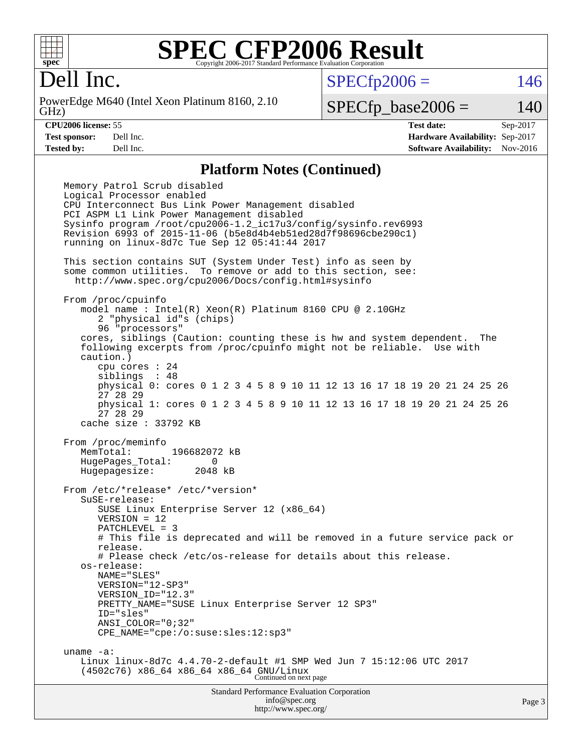

# Dell Inc.

GHz) PowerEdge M640 (Intel Xeon Platinum 8160, 2.10  $SPECTp2006 = 146$ 

### $SPECTp\_base2006 = 140$

**[CPU2006 license:](http://www.spec.org/auto/cpu2006/Docs/result-fields.html#CPU2006license)** 55 **[Test date:](http://www.spec.org/auto/cpu2006/Docs/result-fields.html#Testdate)** Sep-2017 **[Test sponsor:](http://www.spec.org/auto/cpu2006/Docs/result-fields.html#Testsponsor)** Dell Inc. **[Hardware Availability:](http://www.spec.org/auto/cpu2006/Docs/result-fields.html#HardwareAvailability)** Sep-2017 **[Tested by:](http://www.spec.org/auto/cpu2006/Docs/result-fields.html#Testedby)** Dell Inc. **[Software Availability:](http://www.spec.org/auto/cpu2006/Docs/result-fields.html#SoftwareAvailability)** Nov-2016

#### **[Platform Notes \(Continued\)](http://www.spec.org/auto/cpu2006/Docs/result-fields.html#PlatformNotes)**

Standard Performance Evaluation Corporation Memory Patrol Scrub disabled Logical Processor enabled CPU Interconnect Bus Link Power Management disabled PCI ASPM L1 Link Power Management disabled Sysinfo program /root/cpu2006-1.2\_ic17u3/config/sysinfo.rev6993 Revision 6993 of 2015-11-06 (b5e8d4b4eb51ed28d7f98696cbe290c1) running on linux-8d7c Tue Sep 12 05:41:44 2017 This section contains SUT (System Under Test) info as seen by some common utilities. To remove or add to this section, see: <http://www.spec.org/cpu2006/Docs/config.html#sysinfo> From /proc/cpuinfo model name : Intel(R) Xeon(R) Platinum 8160 CPU @ 2.10GHz 2 "physical id"s (chips) 96 "processors" cores, siblings (Caution: counting these is hw and system dependent. The following excerpts from /proc/cpuinfo might not be reliable. Use with caution.) cpu cores : 24 siblings : 48 physical 0: cores 0 1 2 3 4 5 8 9 10 11 12 13 16 17 18 19 20 21 24 25 26 27 28 29 physical 1: cores 0 1 2 3 4 5 8 9 10 11 12 13 16 17 18 19 20 21 24 25 26 27 28 29 cache size : 33792 KB From /proc/meminfo<br>MemTotal: 196682072 kB HugePages\_Total: 0 Hugepagesize: 2048 kB From /etc/\*release\* /etc/\*version\* SuSE-release: SUSE Linux Enterprise Server 12 (x86\_64) VERSION = 12 PATCHLEVEL = 3 # This file is deprecated and will be removed in a future service pack or release. # Please check /etc/os-release for details about this release. os-release: NAME="SLES" VERSION="12-SP3" VERSION\_ID="12.3" PRETTY\_NAME="SUSE Linux Enterprise Server 12 SP3" ID="sles" ANSI\_COLOR="0;32" CPE\_NAME="cpe:/o:suse:sles:12:sp3" uname -a: Linux linux-8d7c 4.4.70-2-default #1 SMP Wed Jun 7 15:12:06 UTC 2017 (4502c76) x86\_64 x86\_64 x86\_64 GNU/Linux Continued on next page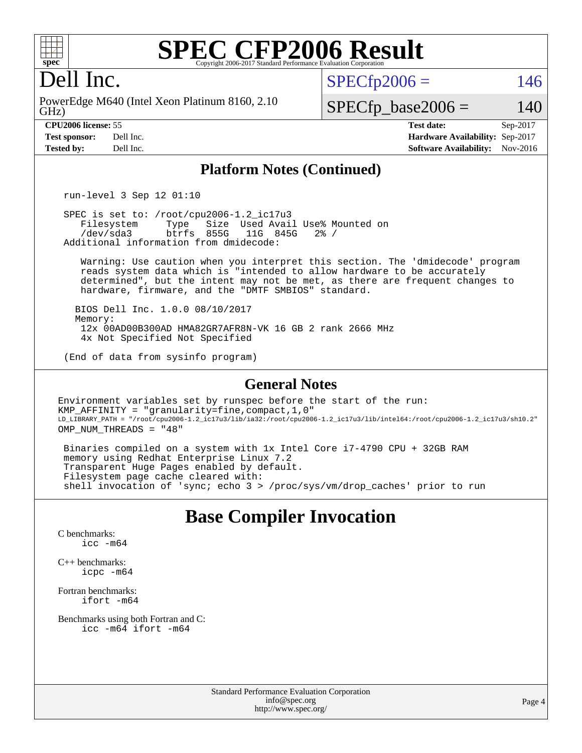

# Dell Inc.

GHz) PowerEdge M640 (Intel Xeon Platinum 8160, 2.10  $SPECTp2006 = 146$ 

### $SPECfp\_base2006 = 140$

**[CPU2006 license:](http://www.spec.org/auto/cpu2006/Docs/result-fields.html#CPU2006license)** 55 **[Test date:](http://www.spec.org/auto/cpu2006/Docs/result-fields.html#Testdate)** Sep-2017 **[Test sponsor:](http://www.spec.org/auto/cpu2006/Docs/result-fields.html#Testsponsor)** Dell Inc. **[Hardware Availability:](http://www.spec.org/auto/cpu2006/Docs/result-fields.html#HardwareAvailability)** Sep-2017 **[Tested by:](http://www.spec.org/auto/cpu2006/Docs/result-fields.html#Testedby)** Dell Inc. **[Software Availability:](http://www.spec.org/auto/cpu2006/Docs/result-fields.html#SoftwareAvailability)** Nov-2016

#### **[Platform Notes \(Continued\)](http://www.spec.org/auto/cpu2006/Docs/result-fields.html#PlatformNotes)**

run-level 3 Sep 12 01:10

SPEC is set to: /root/cpu2006-1.2\_ic17u3<br>Filesystem Type Size Used Avai Filesystem Type Size Used Avail Use% Mounted on<br>/dev/sda3 btrfs 855G 11G 845G 2% / btrfs 855G 11G 845G Additional information from dmidecode:

 Warning: Use caution when you interpret this section. The 'dmidecode' program reads system data which is "intended to allow hardware to be accurately determined", but the intent may not be met, as there are frequent changes to hardware, firmware, and the "DMTF SMBIOS" standard.

 BIOS Dell Inc. 1.0.0 08/10/2017 Memory: 12x 00AD00B300AD HMA82GR7AFR8N-VK 16 GB 2 rank 2666 MHz 4x Not Specified Not Specified

(End of data from sysinfo program)

#### **[General Notes](http://www.spec.org/auto/cpu2006/Docs/result-fields.html#GeneralNotes)**

Environment variables set by runspec before the start of the run: KMP\_AFFINITY = "granularity=fine,compact,1,0" LD\_LIBRARY\_PATH = "/root/cpu2006-1.2\_ic17u3/lib/ia32:/root/cpu2006-1.2\_ic17u3/lib/intel64:/root/cpu2006-1.2\_ic17u3/sh10.2" OMP NUM THREADS = "48"

 Binaries compiled on a system with 1x Intel Core i7-4790 CPU + 32GB RAM memory using Redhat Enterprise Linux 7.2 Transparent Huge Pages enabled by default. Filesystem page cache cleared with: shell invocation of 'sync; echo 3 > /proc/sys/vm/drop\_caches' prior to run

## **[Base Compiler Invocation](http://www.spec.org/auto/cpu2006/Docs/result-fields.html#BaseCompilerInvocation)**

[C benchmarks](http://www.spec.org/auto/cpu2006/Docs/result-fields.html#Cbenchmarks): [icc -m64](http://www.spec.org/cpu2006/results/res2017q4/cpu2006-20170918-49905.flags.html#user_CCbase_intel_icc_64bit_bda6cc9af1fdbb0edc3795bac97ada53)

[C++ benchmarks:](http://www.spec.org/auto/cpu2006/Docs/result-fields.html#CXXbenchmarks) [icpc -m64](http://www.spec.org/cpu2006/results/res2017q4/cpu2006-20170918-49905.flags.html#user_CXXbase_intel_icpc_64bit_fc66a5337ce925472a5c54ad6a0de310)

[Fortran benchmarks](http://www.spec.org/auto/cpu2006/Docs/result-fields.html#Fortranbenchmarks): [ifort -m64](http://www.spec.org/cpu2006/results/res2017q4/cpu2006-20170918-49905.flags.html#user_FCbase_intel_ifort_64bit_ee9d0fb25645d0210d97eb0527dcc06e)

[Benchmarks using both Fortran and C](http://www.spec.org/auto/cpu2006/Docs/result-fields.html#BenchmarksusingbothFortranandC): [icc -m64](http://www.spec.org/cpu2006/results/res2017q4/cpu2006-20170918-49905.flags.html#user_CC_FCbase_intel_icc_64bit_bda6cc9af1fdbb0edc3795bac97ada53) [ifort -m64](http://www.spec.org/cpu2006/results/res2017q4/cpu2006-20170918-49905.flags.html#user_CC_FCbase_intel_ifort_64bit_ee9d0fb25645d0210d97eb0527dcc06e)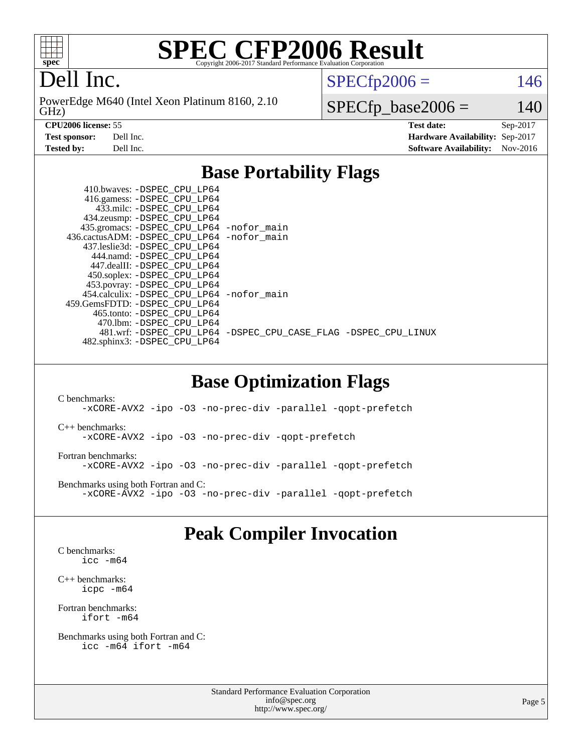

# Dell Inc.

GHz) PowerEdge M640 (Intel Xeon Platinum 8160, 2.10

 $SPECTp2006 = 146$ 

 $SPECfp\_base2006 = 140$ 

**[CPU2006 license:](http://www.spec.org/auto/cpu2006/Docs/result-fields.html#CPU2006license)** 55 **[Test date:](http://www.spec.org/auto/cpu2006/Docs/result-fields.html#Testdate)** Sep-2017 **[Test sponsor:](http://www.spec.org/auto/cpu2006/Docs/result-fields.html#Testsponsor)** Dell Inc. **[Hardware Availability:](http://www.spec.org/auto/cpu2006/Docs/result-fields.html#HardwareAvailability)** Sep-2017 **[Tested by:](http://www.spec.org/auto/cpu2006/Docs/result-fields.html#Testedby)** Dell Inc. **[Software Availability:](http://www.spec.org/auto/cpu2006/Docs/result-fields.html#SoftwareAvailability)** Nov-2016

## **[Base Portability Flags](http://www.spec.org/auto/cpu2006/Docs/result-fields.html#BasePortabilityFlags)**

|  | 410.bwaves: -DSPEC_CPU LP64                  |                                                                |
|--|----------------------------------------------|----------------------------------------------------------------|
|  | 416.gamess: -DSPEC_CPU_LP64                  |                                                                |
|  | 433.milc: -DSPEC CPU LP64                    |                                                                |
|  | 434.zeusmp: - DSPEC_CPU_LP64                 |                                                                |
|  | 435.gromacs: -DSPEC_CPU_LP64 -nofor_main     |                                                                |
|  | 436.cactusADM: - DSPEC CPU LP64 - nofor main |                                                                |
|  | 437.leslie3d: -DSPEC CPU LP64                |                                                                |
|  | 444.namd: - DSPEC_CPU LP64                   |                                                                |
|  | 447.dealII: -DSPEC CPU LP64                  |                                                                |
|  | 450.soplex: -DSPEC_CPU_LP64                  |                                                                |
|  | 453.povray: -DSPEC_CPU_LP64                  |                                                                |
|  | 454.calculix: - DSPEC CPU LP64 - nofor main  |                                                                |
|  | 459. GemsFDTD: - DSPEC CPU LP64              |                                                                |
|  | 465.tonto: - DSPEC CPU LP64                  |                                                                |
|  | 470.1bm: - DSPEC CPU LP64                    |                                                                |
|  |                                              | 481.wrf: -DSPEC CPU_LP64 -DSPEC_CPU_CASE_FLAG -DSPEC_CPU_LINUX |
|  | 482.sphinx3: -DSPEC CPU LP64                 |                                                                |
|  |                                              |                                                                |

### **[Base Optimization Flags](http://www.spec.org/auto/cpu2006/Docs/result-fields.html#BaseOptimizationFlags)**

[C benchmarks](http://www.spec.org/auto/cpu2006/Docs/result-fields.html#Cbenchmarks): [-xCORE-AVX2](http://www.spec.org/cpu2006/results/res2017q4/cpu2006-20170918-49905.flags.html#user_CCbase_f-xCORE-AVX2) [-ipo](http://www.spec.org/cpu2006/results/res2017q4/cpu2006-20170918-49905.flags.html#user_CCbase_f-ipo) [-O3](http://www.spec.org/cpu2006/results/res2017q4/cpu2006-20170918-49905.flags.html#user_CCbase_f-O3) [-no-prec-div](http://www.spec.org/cpu2006/results/res2017q4/cpu2006-20170918-49905.flags.html#user_CCbase_f-no-prec-div) [-parallel](http://www.spec.org/cpu2006/results/res2017q4/cpu2006-20170918-49905.flags.html#user_CCbase_f-parallel) [-qopt-prefetch](http://www.spec.org/cpu2006/results/res2017q4/cpu2006-20170918-49905.flags.html#user_CCbase_f-qopt-prefetch) [C++ benchmarks:](http://www.spec.org/auto/cpu2006/Docs/result-fields.html#CXXbenchmarks) [-xCORE-AVX2](http://www.spec.org/cpu2006/results/res2017q4/cpu2006-20170918-49905.flags.html#user_CXXbase_f-xCORE-AVX2) [-ipo](http://www.spec.org/cpu2006/results/res2017q4/cpu2006-20170918-49905.flags.html#user_CXXbase_f-ipo) [-O3](http://www.spec.org/cpu2006/results/res2017q4/cpu2006-20170918-49905.flags.html#user_CXXbase_f-O3) [-no-prec-div](http://www.spec.org/cpu2006/results/res2017q4/cpu2006-20170918-49905.flags.html#user_CXXbase_f-no-prec-div) [-qopt-prefetch](http://www.spec.org/cpu2006/results/res2017q4/cpu2006-20170918-49905.flags.html#user_CXXbase_f-qopt-prefetch) [Fortran benchmarks](http://www.spec.org/auto/cpu2006/Docs/result-fields.html#Fortranbenchmarks): [-xCORE-AVX2](http://www.spec.org/cpu2006/results/res2017q4/cpu2006-20170918-49905.flags.html#user_FCbase_f-xCORE-AVX2) [-ipo](http://www.spec.org/cpu2006/results/res2017q4/cpu2006-20170918-49905.flags.html#user_FCbase_f-ipo) [-O3](http://www.spec.org/cpu2006/results/res2017q4/cpu2006-20170918-49905.flags.html#user_FCbase_f-O3) [-no-prec-div](http://www.spec.org/cpu2006/results/res2017q4/cpu2006-20170918-49905.flags.html#user_FCbase_f-no-prec-div) [-parallel](http://www.spec.org/cpu2006/results/res2017q4/cpu2006-20170918-49905.flags.html#user_FCbase_f-parallel) [-qopt-prefetch](http://www.spec.org/cpu2006/results/res2017q4/cpu2006-20170918-49905.flags.html#user_FCbase_f-qopt-prefetch) [Benchmarks using both Fortran and C](http://www.spec.org/auto/cpu2006/Docs/result-fields.html#BenchmarksusingbothFortranandC): [-xCORE-AVX2](http://www.spec.org/cpu2006/results/res2017q4/cpu2006-20170918-49905.flags.html#user_CC_FCbase_f-xCORE-AVX2) [-ipo](http://www.spec.org/cpu2006/results/res2017q4/cpu2006-20170918-49905.flags.html#user_CC_FCbase_f-ipo) [-O3](http://www.spec.org/cpu2006/results/res2017q4/cpu2006-20170918-49905.flags.html#user_CC_FCbase_f-O3) [-no-prec-div](http://www.spec.org/cpu2006/results/res2017q4/cpu2006-20170918-49905.flags.html#user_CC_FCbase_f-no-prec-div) [-parallel](http://www.spec.org/cpu2006/results/res2017q4/cpu2006-20170918-49905.flags.html#user_CC_FCbase_f-parallel) [-qopt-prefetch](http://www.spec.org/cpu2006/results/res2017q4/cpu2006-20170918-49905.flags.html#user_CC_FCbase_f-qopt-prefetch)

## **[Peak Compiler Invocation](http://www.spec.org/auto/cpu2006/Docs/result-fields.html#PeakCompilerInvocation)**

[C benchmarks](http://www.spec.org/auto/cpu2006/Docs/result-fields.html#Cbenchmarks): [icc -m64](http://www.spec.org/cpu2006/results/res2017q4/cpu2006-20170918-49905.flags.html#user_CCpeak_intel_icc_64bit_bda6cc9af1fdbb0edc3795bac97ada53)

[C++ benchmarks:](http://www.spec.org/auto/cpu2006/Docs/result-fields.html#CXXbenchmarks) [icpc -m64](http://www.spec.org/cpu2006/results/res2017q4/cpu2006-20170918-49905.flags.html#user_CXXpeak_intel_icpc_64bit_fc66a5337ce925472a5c54ad6a0de310)

[Fortran benchmarks](http://www.spec.org/auto/cpu2006/Docs/result-fields.html#Fortranbenchmarks): [ifort -m64](http://www.spec.org/cpu2006/results/res2017q4/cpu2006-20170918-49905.flags.html#user_FCpeak_intel_ifort_64bit_ee9d0fb25645d0210d97eb0527dcc06e)

[Benchmarks using both Fortran and C](http://www.spec.org/auto/cpu2006/Docs/result-fields.html#BenchmarksusingbothFortranandC): [icc -m64](http://www.spec.org/cpu2006/results/res2017q4/cpu2006-20170918-49905.flags.html#user_CC_FCpeak_intel_icc_64bit_bda6cc9af1fdbb0edc3795bac97ada53) [ifort -m64](http://www.spec.org/cpu2006/results/res2017q4/cpu2006-20170918-49905.flags.html#user_CC_FCpeak_intel_ifort_64bit_ee9d0fb25645d0210d97eb0527dcc06e)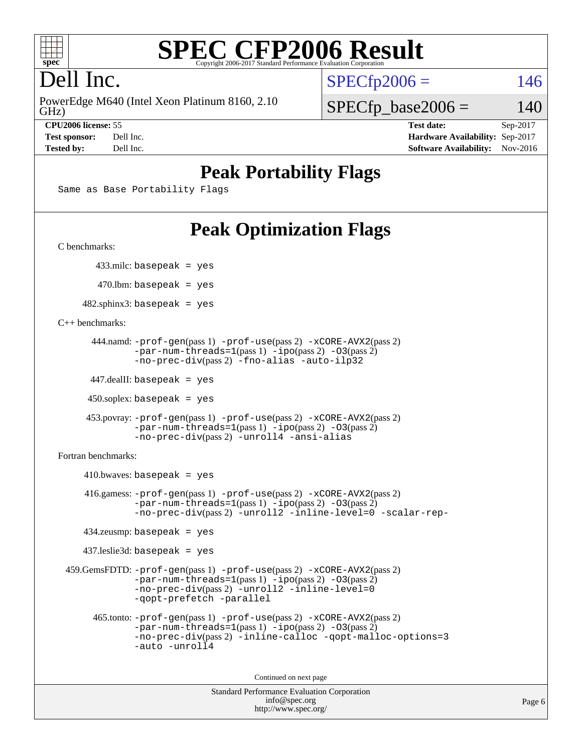

# Dell Inc.

GHz) PowerEdge M640 (Intel Xeon Platinum 8160, 2.10  $SPECTp2006 = 146$ 

**[Test sponsor:](http://www.spec.org/auto/cpu2006/Docs/result-fields.html#Testsponsor)** Dell Inc. **[Hardware Availability:](http://www.spec.org/auto/cpu2006/Docs/result-fields.html#HardwareAvailability)** Sep-2017 **[Tested by:](http://www.spec.org/auto/cpu2006/Docs/result-fields.html#Testedby)** Dell Inc. **[Software Availability:](http://www.spec.org/auto/cpu2006/Docs/result-fields.html#SoftwareAvailability)** Nov-2016

 $SPECfp\_base2006 = 140$ **[CPU2006 license:](http://www.spec.org/auto/cpu2006/Docs/result-fields.html#CPU2006license)** 55 **[Test date:](http://www.spec.org/auto/cpu2006/Docs/result-fields.html#Testdate)** Sep-2017

**[Peak Portability Flags](http://www.spec.org/auto/cpu2006/Docs/result-fields.html#PeakPortabilityFlags)**

Same as Base Portability Flags

# **[Peak Optimization Flags](http://www.spec.org/auto/cpu2006/Docs/result-fields.html#PeakOptimizationFlags)**

[C benchmarks](http://www.spec.org/auto/cpu2006/Docs/result-fields.html#Cbenchmarks):

433.milc: basepeak = yes

 $470$ .lbm: basepeak = yes

 $482$ .sphinx3: basepeak = yes

[C++ benchmarks:](http://www.spec.org/auto/cpu2006/Docs/result-fields.html#CXXbenchmarks)

```
 444.namd: -prof-gen(pass 1) -prof-use(pass 2) -xCORE-AVX2(pass 2)
      -par-num-threads=1-ipo-O3(pass 2)-no-prec-div(pass 2) -fno-alias -auto-ilp32
```
447.dealII: basepeak = yes

 $450$ .soplex: basepeak = yes

```
 453.povray: -prof-gen(pass 1) -prof-use(pass 2) -xCORE-AVX2(pass 2)
        -par-num-threads=1-ipo-O3(pass 2)-no-prec-div(pass 2) -unroll4 -ansi-alias
```
[Fortran benchmarks](http://www.spec.org/auto/cpu2006/Docs/result-fields.html#Fortranbenchmarks):

```
410.bwaves: basepeak = yes 416.gamess: -prof-gen(pass 1) -prof-use(pass 2) -xCORE-AVX2(pass 2)
           -par-num-threads=1-ipo-O3(pass 2)-no-prec-div(pass 2) -unroll2 -inline-level=0 -scalar-rep-
   434.zeusmp: basepeak = yes
  437.leslie3d: basepeak = yes
459.GemsFDTD: -prof-gen(pass 1) -prof-use(pass 2) -xCORE-AVX2(pass 2)
           -par-num-threads=1-ipo-O3(pass 2)-no-prec-div(pass 2) -unroll2 -inline-level=0
           -qopt-prefetch -parallel
    465.tonto: -prof-gen(pass 1) -prof-use(pass 2) -xCORE-AVX2(pass 2)
           -par-num-threads=1-ipo-O3(pass 2)-no-prec-div-inline-calloc-qopt-malloc-options=3
           -auto -unroll4
```
Continued on next page

```
Standard Performance Evaluation Corporation
            info@spec.org
          http://www.spec.org/
```